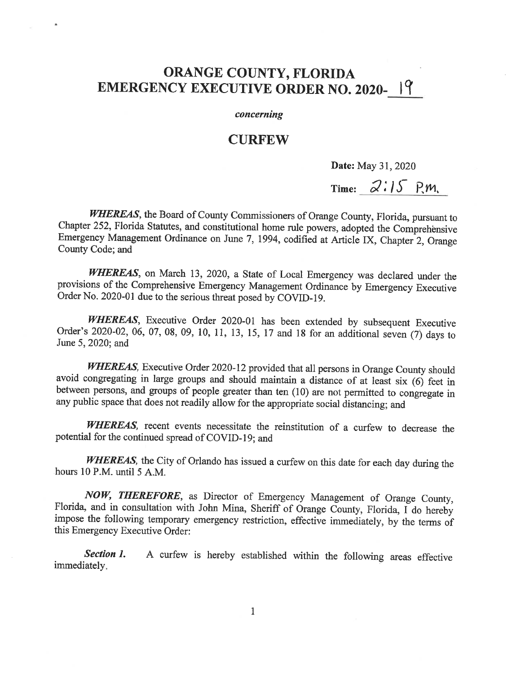## ORANGE COUNTY, FLORIDA EMERGENCY EXECUTIVE ORDER NO. 2020-19

## concerning

## **CURFEW**

Date: May 31, 2020

## Time:  $2:15$  P.M.

WHEREAS, the Board of County Commissioners of Orange County, Florida, pursuant to Chapter 252, Florida Statutes, and constitutional home mle powers, adopted the Comprehensive Emergency Management Ordinance on June 7, 1994, codified at Article IX, Chapter 2, Orange County Code; and

WHEREAS, on March 13, 2020, a State of Local Emergency was declared under the provisions of the Comprehensive Emergency Management Ordinance by Emergency Executive Order No. 2020-01 due to the serious threat posed by COVID-19.

WHEREAS, Executive Order 2020-01 has been extended by subsequent Executive Order's 2020-02, 06, 07, 08, 09, 10, 11, 13, 15, 17 and 18 for an additional seven (7) days to June 5, 2020; and

WHEREAS, Executive Order 2020-12 provided that all persons in Orange County should avoid congregating in large groups and should maintain a distance of at least six (6) feet in between persons, and groups of people greater than ten (10) are not permitted to congregate in any public space that does not readily allow for the appropriate social distancing; and

WHEREAS, recent events necessitate the reinstitution of a curfew to decrease the potential for the continued spread of COVID-19; and

WHEREAS, the City of Orlando has issued a curfew on this date for each day during the hours 10 P.M. until 5 A.M.

NOW, THEREFORE, as Director of Emergency Management of Orange County, Florida, and in consultation with John Mina, Sheriff of Orange County, Florida, f do hereby impose the following temporary emergency restriction, effective immediately, by the terms of this Emergency Executive Order:

Section 1. A curfew is hereby established within the following areas effective immediately